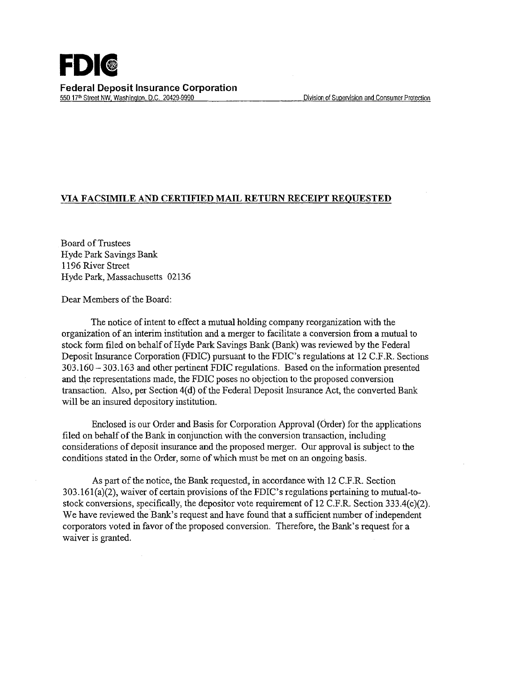## **VIA FACSIMILE AND CERTIFIED MAIL RETURN RECEIPT REQUESTED**

Board ofTrustees Hyde Park Savings Bank 1196 River Street Hyde Park, Massachusetts 02136

Dear Members of the Board:

The notice of intent to effect a mutual holding company reorganization with the organization of an interim institution and a merger to facilitate a conversion from a mutual to stock form filed on behalf of Hyde Park Savings Bank (Bank) was reviewed by the Federal Deposit Insurance Corporation (FDIC) pursuant to the FDIC's regulations at 12 C.F.R. Sections 303.160- 303.163 and other pertinent FDIC regulations. Based on the information presented and the representations made, the FDIC poses no objection to the proposed conversion transaction. Also, per Section 4(d) of the Federal Deposit Insurance Act, the converted Bank will be an insured depository institution.

Enclosed is our Order and Basis for Corporation Approval (Order) for the applications filed on behalf of the Bank in conjunction with the conversion transaction, including considerations of deposit insurance and the proposed merger. Our approval is subject to the conditions stated in the Order, some of which must be met on an ongoing basis.

As part of the notice, the Bank requested, in accordance with 12 C.F.R. Section 303.161(a)(2), waiver of certain provisions of the FDIC's regulations pertaining to mutual-tostock conversions, specifically, the depositor vote requirement of 12 C.F.R. Section 333.4(c)(2). We have reviewed the Bank's request and have found that a sufficient number of independent corporators voted in favor of the proposed conversion. Therefore, the Bank's request for a waiver is granted.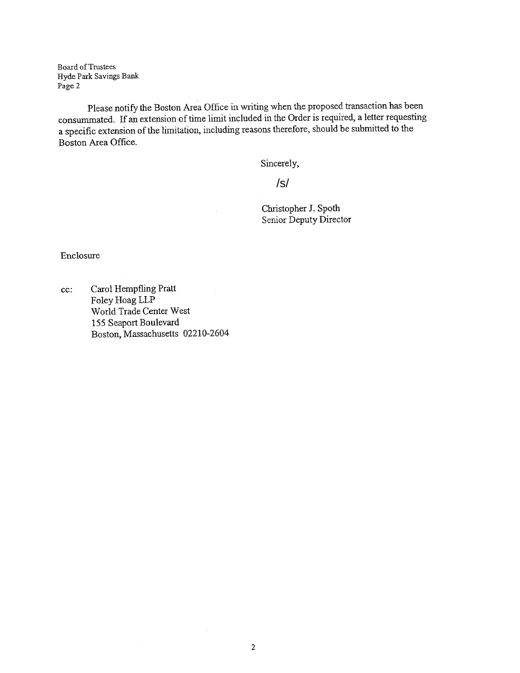Board of Trustees Hyde Park Savings Bank Page 2

Please notify the Boston Area Office in writing when the proposed transaction has been consummated. If an extension of time limit included in the Order is required, a letter requesting a specific extension of the limitation, including reasons therefore, should be submitted to the Boston Area Office.

Sincerely,

/s/

Christopher J. Spoth Senior Deputy Director

Enclosure

cc: Carol Hempfling Pratt Foley Hoag LLP World Trade Center West 155 Seaport Boulevard Boston, Massachusetts 02210-2604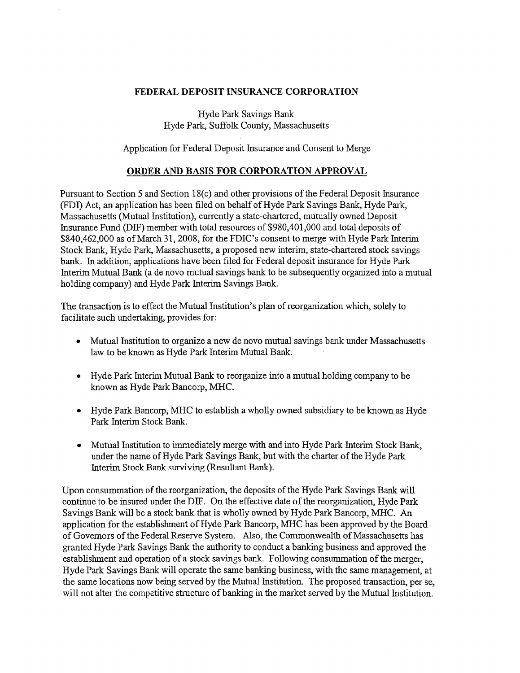## **FEDERAL DEPOSIT** INSURANCE **CORPORATION**

Hyde Park Savings Bank Hyde Park, Suffolk County, Massachusetts

Application for Federal Deposit Insurance and Consent to Merge

## **ORDER AND BASIS FOR CORPORATION APPROVAL**

Pursuant to Section 5 and Section 18(c) and other provisions of the Federal Deposit Insurance (FDI) Act, an application has been filed on behalf ofHyde Park Savings Bank, Hyde Park, Massachusetts (Mutual Institution), currently a state-chartered, mutually owned Deposit Insurance Fund (DIF) member with total resources of \$980,401,000 and total deposits of \$840,462,000 as of March 31,2008, for the FDIC's consent to merge with Hyde Park Interim Stock Bank, Hyde Park, Massachusetts, a proposed new interim, state-chartered stock savings bank. In addition, applications have been filed for Federal deposit insurance for Hyde Park Interim Mutual Bank (a de novo mutual savings bank to be subsequently organized into a mutual holding company) and Hyde Park Interim Savings Bank.

The transaction is to effect the Mutual Institution's plan of reorganization which, solely to facilitate such undertaking, provides for:

- Mutual Institution to organize a new de novo mutual savings bank under Massachusetts law to be known as Hyde Park Interim Mutual Bank.
- Hyde Park Interim Mutual Bank to reorganize into a mutual holding company to be known as Hyde Park Bancorp, MHC.
- Hyde Park Bancorp, MHC to establish a wholly owned subsidiary to be known as Hyde Park Interim Stock Bank.
- Mutual Institution to immediately merge with and into Hyde Park Interim Stock Bank, under the name of Hyde Park Savings Bank, but with the charter of the Hyde Park Interim Stock Bank surviving (Resultant Bank).

Upon consummation of the reorganization, the deposits of the Hyde Park Savings Bank will continue to be insured under the DIF. On the effective date of the reorganization, Hyde Park Savings Bank will be a stock bank that is wholly owned by Hyde Park Bancorp, MHC. An application for the establishment of Hyde Park Bancorp, MHC has been approved by the Board of Governors of the Federal Reserve System. Also, the Commonwealth of Massachusetts has granted Hyde Park Savings Bank the authority to conduct a banking business and approved the establishment and operation of a stock savings bank. Following consummation of the merger, Hyde Park Savings Bank will operate the same banking business, with the same management, at the same locations now being served by the Mutual Institution. The proposed transaction, per se, will not alter the competitive structure of banking in the market served by the Mutual Institution.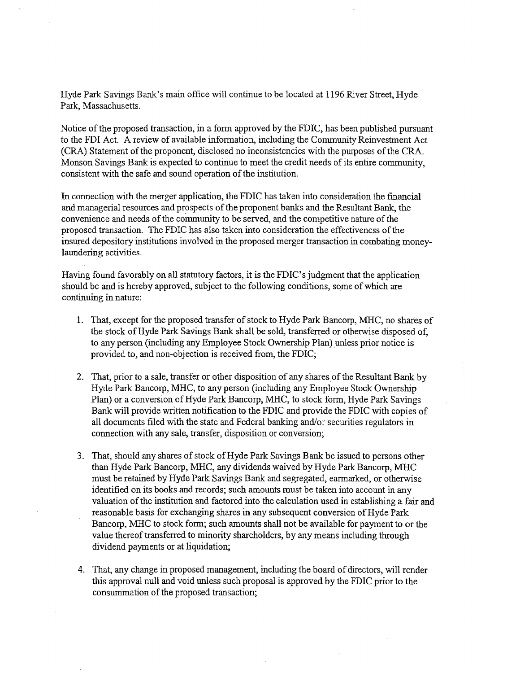Hyde Park Savings Bank's main office will continue to be located at 1196 River Street, Hyde Park, Massachusetts.

Notice of the proposed transaction, in a form approved by the FDIC, has been published pursuant to the FDI Act. A review of available information, including the Community Reinvestment Act (CRA) Statement of the proponent, disclosed no inconsistencies with the purposes of the CRA. Monson Savings Bank is expected to continue to meet the credit needs of its entire community, consistent with the safe and sound operation of the institution.

In connection with the merger application, the FDIC has taken into consideration the fmancial and managerial resources and prospects of the proponent banks and the Resultant Bank, the convenience and needs of the community to be served, and the competitive nature of the proposed transaction. The FDIC has also taken into consideration the effectiveness of the insured depository institutions involved in the proposed merger transaction in combating moneylaundering activities.

Having found favorably on all statutory factors, it is the FDIC's judgment that the application should be and is hereby approved, subject to the following conditions, some of which are continuing in nature:

- 1. That, except for the proposed transfer of stock to Hyde Park Bancorp, MHC, no shares of the stock of Hyde Park Savings Bank shall be sold, transferred or otherwise disposed of, to any person (including any Employee Stock Ownership Plan) unless prior notice is provided to, and non-objection is received from, the FDIC;
- 2. That, prior to a sale, transfer or other disposition of any shares of the Resultant Bank by Hyde Park Bancorp, MHC, to any person (including any Employee Stock Ownership Plan) or a conversion of Hyde Park Bancorp, MHC, to stock form, Hyde Park Savings Bank will provide written notification to the FDIC and provide the FDIC with copies of all documents filed with the state and Federal banking and/or securities regulators in connection with any sale, transfer, disposition or conversion;
- 3. That, should any shares of stock of Hyde Park Savings Bank be issued to persons other than Hyde Park Bancorp, MHC, any dividends waived by Hyde Park Bancorp, MHC must be retained by Hyde Park Savings Bank and segregated, earmarked, or otherwise identified on its books and records; such amounts must be taken into account in any valuation of the institution and factored into the calculation used in establishing a fair and reasonable basis for exchanging shares in any subsequent conversion of Hyde Park Bancorp, MHC to stock form; such amounts shall not be available for payment to or the value thereof transferred to minority shareholders, by any means including through dividend payments or at liquidation;
- 4. That, any change in proposed management, including the board of directors, will render this approval null and void unless such proposal is approved by the FDIC prior to the consummation of the proposed transaction;